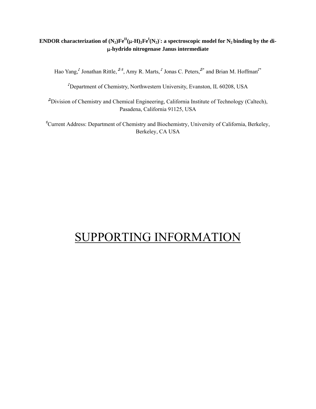## **ENDOR** characterization of  $(N_2) \text{Fe}^{\text{II}}(\upmu\text{-H})_2 \text{Fe}^{\text{I}}(N_2)$  : a spectroscopic model for  $N_2$  binding by the di-**-hydrido nitrogenase Janus intermediate**

Hao Yang,' Jonathan Rittle,  $\int^{\pi}$ , Amy R. Marts, I Jonas C. Peters,  $\int^*$  and Brian M. Hoffman'<sup>\*</sup>

♪ Department of Chemistry, Northwestern University, Evanston, IL 60208, USA

♫Division of Chemistry and Chemical Engineering, California Institute of Technology (Caltech), Pasadena, California 91125, USA

♯ Current Address: Department of Chemistry and Biochemistry, University of California, Berkeley, Berkeley, CA USA

## SUPPORTING INFORMATION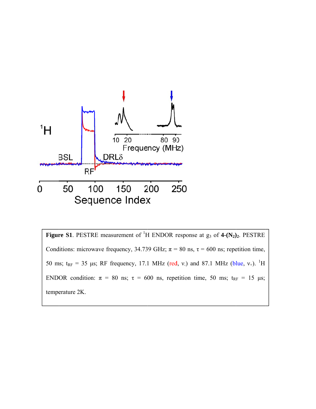

Figure S1. PESTRE measurement of <sup>1</sup>H ENDOR response at  $g_3$  of 4- $(N_2)_2$ . PESTRE Conditions: microwave frequency, 34.739 GHz;  $\pi = 80$  ns,  $\tau = 600$  ns; repetition time, 50 ms;  $t_{RF}$  = 35 µs; RF frequency, 17.1 MHz (red, v.) and 87.1 MHz (blue, v<sub>+</sub>). <sup>1</sup>H ENDOR condition:  $\pi = 80$  ns;  $\tau = 600$  ns, repetition time, 50 ms;  $t_{RF} = 15$  µs; temperature 2K.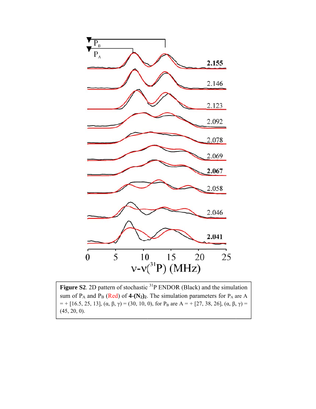

**Figure S2**. 2D pattern of stochastic  ${}^{31}P$  ENDOR (Black) and the simulation sum of  $P_A$  and  $P_B$  (Red) of 4-(N<sub>2</sub>)<sub>2</sub>. The simulation parameters for  $P_A$  are A  $=$  + [16.5, 25, 13], (α, β, γ) = (30, 10, 0), for P<sub>B</sub> are A = + [27, 38, 26], (α, β, γ) = (45, 20, 0).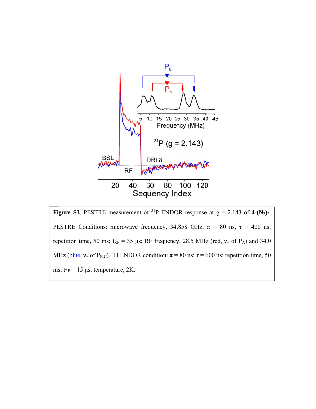

**Figure S3.** PESTRE measurement of <sup>31</sup>P ENDOR response at  $g = 2.143$  of 4- $(N_2)_2$ . PESTRE Conditions: microwave frequency, 34.858 GHz;  $\pi = 80$  ns,  $\tau = 400$  ns; repetition time, 50 ms;  $t_{RF}$  = 35 µs; RF frequency, 28.5 MHz (red,  $v_+$  of P<sub>A</sub>) and 34.0 MHz (blue, v<sub>+</sub> of P<sub>B,C</sub>). <sup>1</sup>H ENDOR condition:  $\pi$  = 80 ns;  $\tau$  = 600 ns; repetition time, 50 ms;  $t_{RF}$  = 15 µs; temperature, 2K.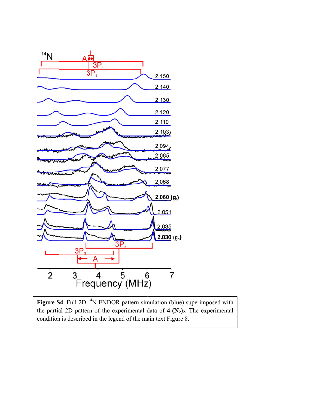

**Figure S4.** Full 2D  $^{14}N$  ENDOR pattern simulation (blue) superimposed with the partial 2D pattern of the experimental data of  $4-(N_2)_2$ . The experimental condition is described in the legend of the main text Figure 8.